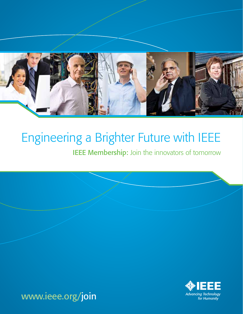

# Engineering a Brighter Future with IEEE

**IEEE Membership:** Join the innovators of tomorrow

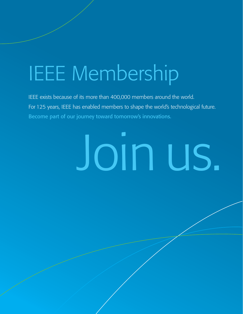# IEEE Membership

IEEE exists because of its more than 400,000 members around the world. For 125 years, IEEE has enabled members to shape the world's technological future. Become part of our journey toward tomorrow's innovations.

# Join us.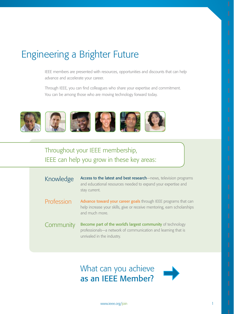# Engineering a Brighter Future

IEEE members are presented with resources, opportunities and discounts that can help advance and accelerate your career.

Through IEEE, you can find colleagues who share your expertise and commitment. You can be among those who are moving technology forward today.



## Throughout your IEEE membership, IEEE can help you grow in these key areas:

| Knowledge  | Access to the latest and best research-news, television programs<br>and educational resources needed to expand your expertise and<br>stay current.           |
|------------|--------------------------------------------------------------------------------------------------------------------------------------------------------------|
| Profession | Advance toward your career goals through IEEE programs that can<br>help increase your skills, give or receive mentoring, earn scholarships<br>and much more. |
| Community  | Become part of the world's largest community of technology<br>professionals-a network of communication and learning that is<br>unrivaled in the industry.    |

What can you achieve as an IEEE Member?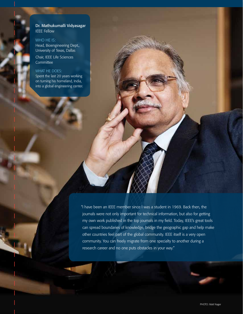### Dr. Mathukumalli Vidyasagar IEEE Fellow

WHO HE IS: Head, Bioengineering Dept., University of Texas, Dallas

Chair, IEEE Life Sciences **Committee** 

### WHAT HE DOES:

Spent the last 20 years working on turning his homeland, India, into a global engineering center.

> "I have been an IEEE member since I was a student in 1969. Back then, the journals were not only important for technical information, but also for getting my own work published in the top journals in my field. Today, IEEE's great tools can spread boundaries of knowledge, bridge the geographic gap and help make other countries feel part of the global community. IEEE itself is a very open community. You can freely migrate from one specialty to another during a research career and no one puts obstacles in your way."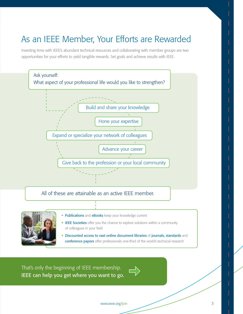# As an IEEE Member, Your Efforts are Rewarded

Investing time with IEEE's abundant technical resources and collaborating with member groups are two opportunities for your efforts to yield tangible rewards. Set goals and achieve results with IEEE.





- **EEE Societies** offer you the chance to explore solutions within a community of colleagues in your field
- Discounted access to vast online document libraries of journals, standards and conference papers offer professionals one-third of the world's technical research

That's only the beginning of IEEE membership. IEEE can help you get where you want to go.

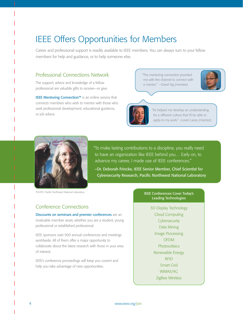# IEEE Offers Opportunities for Members

Career and professional support is readily available to IEEE members. You can always turn to your fellow members for help and guidance, or to help someone else.

### Professional Connections Network

The support, advice and knowledge of a fellow professional are valuable gifts to receive—or give.

IEEE Mentoring Connection™ is an online service that connects members who wish to mentor with those who seek professional development, educational guidance, or job advice.

 "The mentoring connection provided me with the channel to connect with a mentor." –David Ng (mentee)





"It's helped me develop an understanding for a different culture that I'll be able to apply to my work." –Loren Lacey (mentor)



PHOTO: Pacific Northwest National Laboratory

"To make lasting contributions to a discipline, you really need to have an organization like IEEE behind you… Early on, to advance my career, I made use of IEEE conferences."

–Dr. Deborah Frincke, IEEE Senior Member, Chief Scientist for Cybersecurity Research, Pacific Northwest National Laboratory

### IEEE Conferences Cover Today's Leading Technologies

3D Display Technology Cloud Computing **Cybersecurity** Data Mining Image Processing **OFDM Photovoltaics** Renewable Energy RFID Smart Grid WiMAX/4G ZigBee Wireless

### Conference Connections

Discounts on seminars and premier conferences are an invaluable member asset, whether you are a student, young professional or established professional.

IEEE sponsors over 900 annual conferences and meetings worldwide. All of them offer a major opportunity to collaborate about the latest research with those in your area of interest.

IEEE's conference proceedings will keep you current and help you take advantage of new opportunities.

4 www.ieee.org/join www.ieee.org/join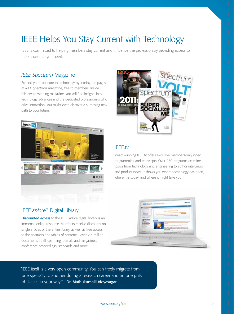# IEEE Helps You Stay Current with Technology

IEEE is committed to helping members stay current and influence the profession by providing access to the knowledge you need.

### *IEEE Spectrum* Magazine

Expand your exposure to technology by turning the pages of *IEEE Spectrum* magazine, free to members. Inside this award-winning magazine, you will find insights into technology advances and the dedicated professionals who drive innovation. You might even discover a surprising new path to your future.



### IEEE *Xplore*® Digital Library

Discounted access to the IEEE *Xplore* digital library is an immense online resource. Members receive discounts on single articles or the entire library, as well as free access to the abstracts and tables of contents—over 2.5 million documents in all, spanning journals and magazines, conference proceedings, standards and more.



### IEEE.tv

Award-winning IEEE.tv offers exclusive members-only video programming and transcripts. Over 250 programs examine topics from technology and engineering to author interviews and product news. It shows you where technology has been, where it is today, and where it might take you.



"IEEE itself is a very open community. You can freely migrate from one specialty to another during a research career and no one puts obstacles in your way." –Dr. Mathukumalli Vidyasagar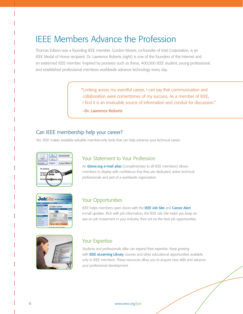# IEEE Members Advance the Profession

Thomas Edison was a founding IEEE member. Gordon Moore, co-founder of Intel Corporation, is an IEEE Medal of Honor recipient. Dr. Lawrence Roberts (right) is one of the founders of the Internet and an esteemed IEEE member. Inspired by pioneers such as these, 400,000 IEEE student, young professional, and established professional members worldwide advance technology every day.

> "Looking across my eventful career, I can say that communication and collaboration were cornerstones of my success. As a member of IEEE, I find it is an invaluable source of information and conduit for discussion."

–Dr. Lawrence Roberts

### Can IEEE membership help your career?

Yes. IEEE makes available valuable member-only tools that can help advance your technical career.



### Your Statement to Your Profession

An @ieee.org e-mail alias (complimentary to all IEEE members) allows members to display with confidence that they are dedicated, active technical professionals and part of a worldwide organization.



### Your Opportunities

IEEE helps members open doors with the IEEE Job Site and Career Alert e-mail updates. Rich with job information, the IEEE Job Site helps you keep an eye on job movement in your industry, then act on the best job opportunities.



### Your Expertise

Students and professionals alike can expand their expertise. Keep growing with IEEE eLearning Library courses and other educational opportunities available only to IEEE members. These resources allow you to acquire new skills and advance your professional development.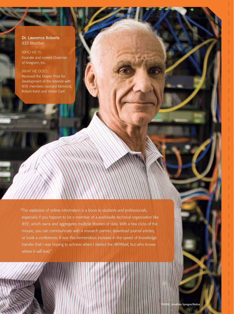Dr. Lawrence Roberts IEEE Member

WHO HE IS: Founder and current Chairman of Anagram, Inc.

### WHAT HE DOES:

Received the Draper Prize for development of the Internet with IEEE members Leonard Kleinrock, Robert Kahn and Vinton Cerf.

"The explosion of online information is a boon to students and professionals, especially if you happen to be a member of a worldwide technical organization like IEEE, which owns and aggregates multiple libraries of data. With a few clicks of the mouse, you can communicate with a research partner, download journal articles, or book a conference. It was this tremendous increase in the speed of knowledge transfer that I was hoping to achieve when I started the ARPANet, but who knows where it will lead."

PHOTO: Jonath<mark>an Sprague/Redu</mark>x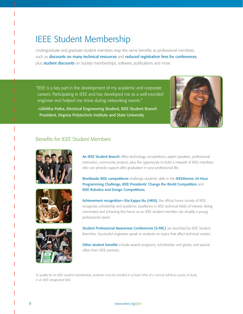# IEEE Student Membership

Undergraduate and graduate student members reap the same benefits as professional members, such as discounts on many technical resources and reduced registration fees for conferences, plus student discounts on Society memberships, software, publications and more.

"IEEE is a key part in the development of my academic and corporate careers. Participating in IEEE and has developed me as a well-rounded engineer and helped me shine during networking events."



–Likhitha Patha, Electrical Engineering Student, IEEE Student Branch President, Virginia Polytechnic Institute and State University

### Benefits for IEEE Student Members







An IEEE Student Branch offers technology competitions, expert speakers, professional instruction, community projects, plus the opportunity to build a network of IEEE members who can provide support after graduation in your professional life.

Worldwide IEEE competitions challenge students' skills in the IEEEXtreme 24-Hour Programming Challenge, IEEE Presidents' Change the World Competition and IEEE Robotics and Design Competitions.

Achievement recognition-Eta Kappa Nu (HKN), the official honor society of IEEE, recognizes scholarship and academic excellence in IEEE technical fields of interest. Being nominated and achieving this honor as an IEEE student member can amplify a young professional career.

Student Professional Awareness Conferences (S-PAC) are launched by IEEE Student Branches. Successful engineers speak to students on topics that affect technical careers.

Other student benefits include awards programs, scholarships and grants, and special offers from IEEE partners.

To qualify for an IEEE student membership, students must be enrolled in at least 50% of a normal, full-time course of study in an IEEE designated field.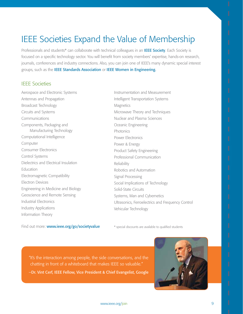# IEEE Societies Expand the Value of Membership

Professionals and students\* can collaborate with technical colleagues in an IEEE Society. Each Society is focused on a specific technology sector. You will benefit from society members' expertise, hands-on research, journals, conferences and industry connections. Also, you can join one of IEEE's many dynamic special interest groups, such as the IEEE Standards Association or IEEE Women in Engineering.

### IEEE Societies

Aerospace and Electronic Systems Antennas and Propagation Broadcast Technology Circuits and Systems Communications Components, Packaging and Manufacturing Technology Computational Intelligence Computer Consumer Electronics Control Systems Dielectrics and Electrical Insulation **Education** Electromagnetic Compatibility Electron Devices Engineering in Medicine and Biology Geoscience and Remote Sensing Industrial Electronics Industry Applications Information Theory

Instrumentation and Measurement Intelligent Transportation Systems **Magnetics** Microwave Theory and Techniques Nuclear and Plasma Sciences Oceanic Engineering **Photonics** Power Electronics Power & Energy Product Safety Engineering Professional Communication Reliability Robotics and Automation Signal Processing Social Implications of Technology Solid-State Circuits Systems, Man and Cybernetics Ultrasonics, Ferroelectrics and Frequency Control Vehicular Technology

Find out more: www.ieee.org/go/societyvalue \* special discounts are available to qualified students

"It's the interaction among people, the side conversations, and the chatting in front of a whiteboard that makes IEEE so valuable." –Dr. Vint Cerf, IEEE Fellow, Vice President & Chief Evangelist, Google

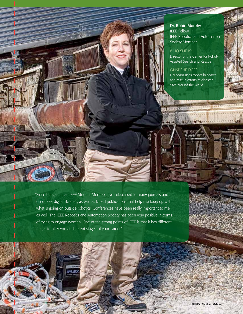### Dr. Robin Murphy IEEE Fellow

IEEE Robotics and Automation Society Member

WHO SHE IS: Director of the Center for Robot-Assisted Search and Rescue

WHAT SHE DOES:

Her team uses robots in search and rescue efforts at disaster sites around the world.

**MONDERWARD PIEDER** 

SOLAR SALA

OS.

"Since I began as an IEEE Student Member, I've subscribed to many journals and used IEEE digital libraries, as well as broad publications that help me keep up with what is going on outside robotics. Conferences have been really important to me, as well. The IEEE Robotics and Automation Society has been very positive in terms of trying to engage women. One of the strong points of IEEE is that it has different things to offer you at different stages of your career."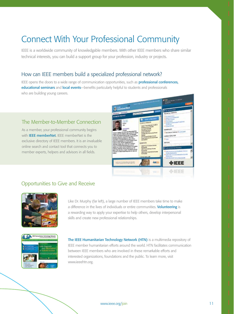# Connect With Your Professional Community

IEEE is a worldwide community of knowledgable members. With other IEEE members who share similar technical interests, you can build a support group for your profession, industry or projects.

### How can IEEE members build a specialized professional network?

IEEE opens the doors to a wide range of communication opportunities, such as **professional conferences,** educational seminars and local events—benefits particularly helpful to students and professionals who are building young careers.

### The Member-to-Member Connection

As a member, your professional community begins with **IEEE memberNet.** IEEE memberNet is the exclusive directory of IEEE members. It is an invaluable online search and contact tool that connects you to member experts, helpers and advisors in all fields.



### Opportunities to Give and Receive



Like Dr. Murphy (far left), a large number of IEEE members take time to make a difference in the lives of individuals or entire communities. Volunteering is a rewarding way to apply your expertise to help others, develop interpersonal skills and create new professional relationships.



The IEEE Humanitarian Technology Network (HTN) is a multimedia repository of IEEE member humanitarian efforts around the world. HTN facilitates communication between IEEE members who are involved in these remarkable efforts and interested organizations, foundations and the public. To learn more, visit www.ieeehtn.org.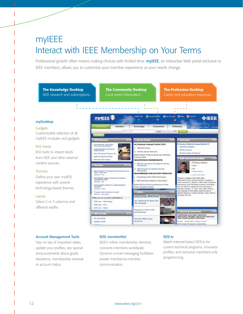# myIEEE Interact with IEEE Membership on Your Terms

Professional growth often means making choices with limited time. myIEEE, an interactive Web portal exclusive to IEEE members, allows you to customize your member experience as your needs change.



### Account Management Tools

Stay on top of important dates, update your profiles, see special announcements about grade elevations, membership renewal or account status.

### IEEE memberNet

IEEE's online membership directory connects members worldwide. Dynamic e-mail messaging facilitates private member-to-member communication.

### IEEE.tv

Watch Internet-based IEEE.tv for current technical programs, innovator profiles, and exclusive members-only programming.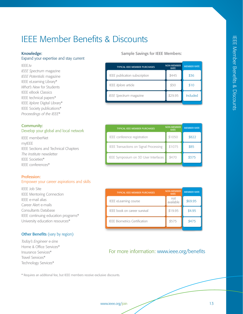# IEEE Member Benefits & Discounts

### Knowledge:

### Expand your expertise and stay current

IEEE.tv *IEEE Spectrum* magazine *IEEE Potentials* magazine IEEE eLearning Library\* *What's New* for Students IEEE eBook Classics IEEE technical papers\* IEEE *Xplore* Digital Library\* IEEE Society publications\* *Proceedings of the IEEE*\*

### Community:

### Develop your global and local network

IEEE memberNet myIEEE IEEE Sections and Technical Chapters *The Institute* newsletter IEEE Societies\* IEEE conferences\*

### Profession:

### Empower your career aspirations and skills

IEEE Job Site IEEE Mentoring Connection IEEE e-mail alias Career Alert e-mails Consultants Database IEEE continuing education programs\* University education resources\*

### **Other Benefits** (vary by region)

*Today's Engineer* e-zine Home & Office Services\* Insurance Services\* Travel Services\* Technology Services\*

Sample Savings for IEEE Members:

| <b>NON-MEMBER</b><br><b>RATE</b> | <b>MEMBER RATE</b> |
|----------------------------------|--------------------|
| \$445                            | \$36               |
| \$30                             | \$10               |
| \$29.95                          | Included           |
|                                  |                    |

| <b>TYPICAL IEEE MEMBER PURCHASES</b>   | <b>NON-MEMBER</b><br><b>RATE</b> | <b>MEMBER RATE</b> |
|----------------------------------------|----------------------------------|--------------------|
| IEEE conference registration           | \$1050                           | \$822              |
| IEEE Transactions on Signal Processing | \$1075                           | \$85               |
| IEEE Symposium on 3D User Interfaces   | \$470                            | \$375              |

| <b>NON-MEMBER</b><br><b>RATE</b> | <b>MEMBER RATE</b> |
|----------------------------------|--------------------|
| not<br>available                 | \$69.95            |
| \$19.95                          | \$4.95             |
| \$575                            | \$475              |
|                                  |                    |

### For more information: www.ieee.org/benefits

\* Requires an additional fee, but IEEE members receive exclusive discounts.